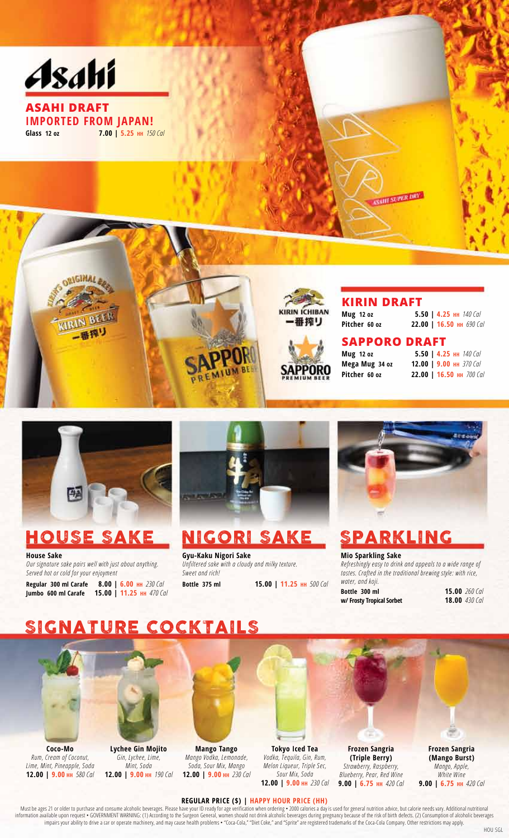



BELL

番押り

**House Sake** *Our signature sake pairs well with just about anything. Served hot or cold for your enjoyment*

**Regular 300 ml Carafe 8.00 | 6.00 HH** *230 Cal* **Jumbo 600 ml Carafe 15.00 | 11.25 HH** *470 Cal*



**Gyu-Kaku Nigori Sake** *Unfiltered sake with a cloudy and milky texture. Sweet and rich!* **Bottle 375 ml 15.00 | 11.25 HH** *500 Cal*

**Pitcher 60 oz 22.00 | 16.50 HH** *690 Cal*

**Mug 12 oz 5.50 | 4.25 HH** *140 Cal* **Mega Mug 34 oz 12.00 | 9.00 HH** *370 Cal* **Pitcher 60 oz 22.00 | 16.50 HH** *700 Cal*

## HOUSE SAKE NIGORI SAKE SPARKLING

**KIRIN DRAFT**<br>Mug 12 oz 5.

**KIRIN ICHIBAN** 

番搾り

APPORO

**SAPPORO DRAFT**

**Mug 12 oz 5.50 | 4.25 HH** *140 Cal*

**Mio Sparkling Sake** *Refreshingly easy to drink and appeals to a wide range of tastes. Crafted in the traditional brewing style: with rice, water, and koji.* **Bottle 300 ml 15.00** *260 Cal*

**w/ Frosty Tropical Sorbet** 

## SIGNATURE COCKTAILS



**Coco-Mo** *Rum, Cream of Coconut, Lime, Mint, Pineapple, Soda* **12.00 | 9.00 HH** *580 Cal*



**Lychee Gin Mojito** *Gin, Lychee, Lime, Mint, Soda* **12.00 | 9.00 HH** *190 Cal*

**Mango Tango** *Mango Vodka, Lemonade, Soda, Sour Mix, Mango* **12.00 | 9.00 HH** *230 Cal*

**Tokyo Iced Tea** *Vodka, Tequila, Gin, Rum, Melon Liqueur, Triple Sec, Sour Mix, Soda* **12.00 | 9.00 HH** *230 Cal*

**Frozen Sangria (Triple Berry)** *Strawberry, Raspberry, Blueberry, Pear, Red Wine* **9.00 | 6.75 HH** *420 Cal*

**Frozen Sangria (Mango Burst)** *Mango, Apple, White Wine* **9.00 | 6.75 HH** *420 Cal*

#### **REGULAR PRICE (\$) | HAPPY HOUR PRICE (HH)**

Must be ages 21 or older to purchase and consume alcoholic beverages. Please have your ID ready for age verification when ordering • 2000 calories a day is used for general nutrition advice, but calorie needs vary. Additio information available upon request • GOVERNMENT WARNING: (1) According to the Surgeon General, women should not drink alcoholic beverages during pregnancy because of the risk of birth defects. (2) Consumption of alcoholic impairs your ability to drive a car or operate machinery, and may cause health problems • "Coca-Cola," "Diet Coke," and "Sprite" are registered trademarks of the Coca-Cola Company. Other restrictions may apply.